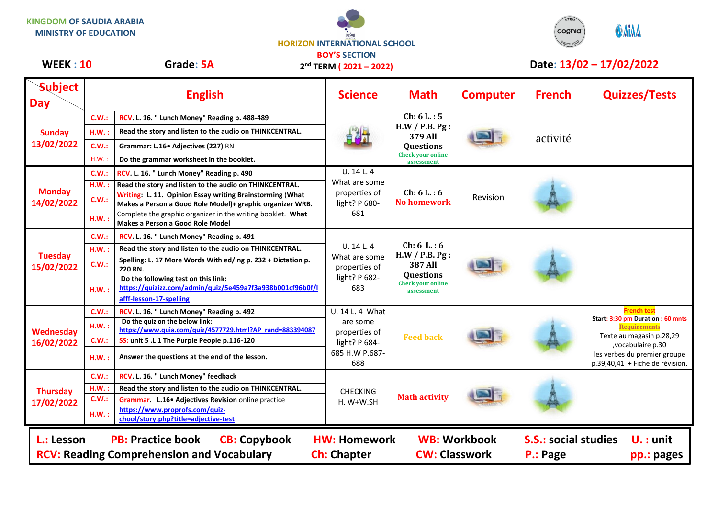**KINGDOM OF SAUDIA ARABIA MINISTRY OF EDUCATION**



**2 nd TERM ( 2021 – 2022)**



## **WEEK : 10** Grade: 5A 2<sup>nd</sup> TERM ( 2021 – 2022) Date: 13/02 – 17/02/2022

| <b>Subject</b><br><b>Day</b>                                                                                                                                                                                                                                                         |              | <b>English</b>                                                                                                              | <b>Science</b>                                                                         | <b>Math</b>                                                                                                   | <b>Computer</b> | <b>French</b> | <b>Quizzes/Tests</b>                                              |
|--------------------------------------------------------------------------------------------------------------------------------------------------------------------------------------------------------------------------------------------------------------------------------------|--------------|-----------------------------------------------------------------------------------------------------------------------------|----------------------------------------------------------------------------------------|---------------------------------------------------------------------------------------------------------------|-----------------|---------------|-------------------------------------------------------------------|
| <b>Sunday</b><br>13/02/2022                                                                                                                                                                                                                                                          | C.W.:        | RCV. L. 16. " Lunch Money" Reading p. 488-489                                                                               |                                                                                        | Ch: 6 L: 5<br>H.W / P.B. P.g.<br>379 All<br><b>Questions</b><br><b>Check your online</b><br>assessment        |                 | activité      |                                                                   |
|                                                                                                                                                                                                                                                                                      | H.W.:        | Read the story and listen to the audio on THINKCENTRAL.<br>Grammar: L.16• Adjectives (227) RN                               |                                                                                        |                                                                                                               |                 |               |                                                                   |
|                                                                                                                                                                                                                                                                                      | C.W.:        |                                                                                                                             |                                                                                        |                                                                                                               |                 |               |                                                                   |
|                                                                                                                                                                                                                                                                                      | H.W.         | Do the grammar worksheet in the booklet.                                                                                    |                                                                                        |                                                                                                               |                 |               |                                                                   |
|                                                                                                                                                                                                                                                                                      | C.W.:        | RCV. L. 16. " Lunch Money" Reading p. 490                                                                                   | U. 14 L. 4<br>What are some<br>properties of<br>light? P 680-                          | Ch: 6 L: 6<br><b>No homework</b>                                                                              | Revision        |               |                                                                   |
| <b>Monday</b><br>14/02/2022                                                                                                                                                                                                                                                          | H.W.:        | Read the story and listen to the audio on THINKCENTRAL.                                                                     |                                                                                        |                                                                                                               |                 |               |                                                                   |
|                                                                                                                                                                                                                                                                                      | C.W.:        | Writing: L. 11. Opinion Essay writing Brainstorming (What<br>Makes a Person a Good Role Model)+ graphic organizer WRB.      |                                                                                        |                                                                                                               |                 |               |                                                                   |
|                                                                                                                                                                                                                                                                                      | H.W.:        | Complete the graphic organizer in the writing booklet. What<br>Makes a Person a Good Role Model                             | 681                                                                                    |                                                                                                               |                 |               |                                                                   |
|                                                                                                                                                                                                                                                                                      | C.W.:        | RCV. L. 16. " Lunch Money" Reading p. 491                                                                                   | U. 14 L. 4<br>What are some<br>properties of<br>light? P 682-<br>683                   | Ch: 6 L: 6<br>H.W / P.B. P.g.<br><b>387 All</b><br><b>Questions</b><br><b>Check your online</b><br>assessment |                 |               |                                                                   |
|                                                                                                                                                                                                                                                                                      | H.W.:        | Read the story and listen to the audio on THINKCENTRAL.                                                                     |                                                                                        |                                                                                                               |                 |               |                                                                   |
| <b>Tuesday</b><br>15/02/2022                                                                                                                                                                                                                                                         | C.W.:        | Spelling: L. 17 More Words With ed/ing p. 232 + Dictation p.<br>220 RN.                                                     |                                                                                        |                                                                                                               |                 |               |                                                                   |
|                                                                                                                                                                                                                                                                                      | H.W.:        | Do the following test on this link:<br>https://quizizz.com/admin/quiz/5e459a7f3a938b001cf96b0f/l<br>afff-lesson-17-spelling |                                                                                        |                                                                                                               |                 |               |                                                                   |
|                                                                                                                                                                                                                                                                                      | C.W.:        | RCV. L. 16. " Lunch Money" Reading p. 492                                                                                   | U. 14 L. 4 What<br>are some<br>properties of<br>light? P 684-<br>685 H.W P.687-<br>688 | <b>Feed back</b>                                                                                              |                 |               | <b>French test</b>                                                |
| Wednesday                                                                                                                                                                                                                                                                            | H.W.:        | Do the quiz on the below link:<br>https://www.quia.com/quiz/4577729.html?AP rand=883394087                                  |                                                                                        |                                                                                                               |                 |               | Start: 3:30 pm Duration: 60 mnts<br><b>Requirements</b>           |
| 16/02/2022                                                                                                                                                                                                                                                                           | C.W.:        | SS: unit 5 .L 1 The Purple People p.116-120                                                                                 |                                                                                        |                                                                                                               |                 |               | Texte au magasin p.28,29<br>, vocabulaire p.30                    |
|                                                                                                                                                                                                                                                                                      | H.W.:        | Answer the questions at the end of the lesson.                                                                              |                                                                                        |                                                                                                               |                 |               | les verbes du premier groupe<br>$p.39,40,41 +$ Fiche de révision. |
| <b>Thursday</b><br>17/02/2022                                                                                                                                                                                                                                                        | C.W.:        | RCV. L. 16. " Lunch Money" feedback                                                                                         | <b>CHECKING</b><br>$H. W+W.SH$                                                         | <b>Math activity</b>                                                                                          |                 |               |                                                                   |
|                                                                                                                                                                                                                                                                                      | $H.W.$ :     | Read the story and listen to the audio on THINKCENTRAL.                                                                     |                                                                                        |                                                                                                               |                 |               |                                                                   |
|                                                                                                                                                                                                                                                                                      | <b>C.W.:</b> | Grammar. L.16. Adjectives Revision online practice                                                                          |                                                                                        |                                                                                                               |                 |               |                                                                   |
|                                                                                                                                                                                                                                                                                      | H.W.:        | https://www.proprofs.com/quiz-<br>chool/story.php?title=adjective-test                                                      |                                                                                        |                                                                                                               |                 |               |                                                                   |
| <b>S.S.: social studies</b><br><b>PB: Practice book</b><br><b>WB: Workbook</b><br>$U.:$ unit<br>L.: Lesson<br><b>CB: Copybook</b><br><b>HW: Homework</b><br><b>RCV: Reading Comprehension and Vocabulary</b><br><b>Ch: Chapter</b><br><b>CW: Classwork</b><br>P.: Page<br>pp.: pages |              |                                                                                                                             |                                                                                        |                                                                                                               |                 |               |                                                                   |